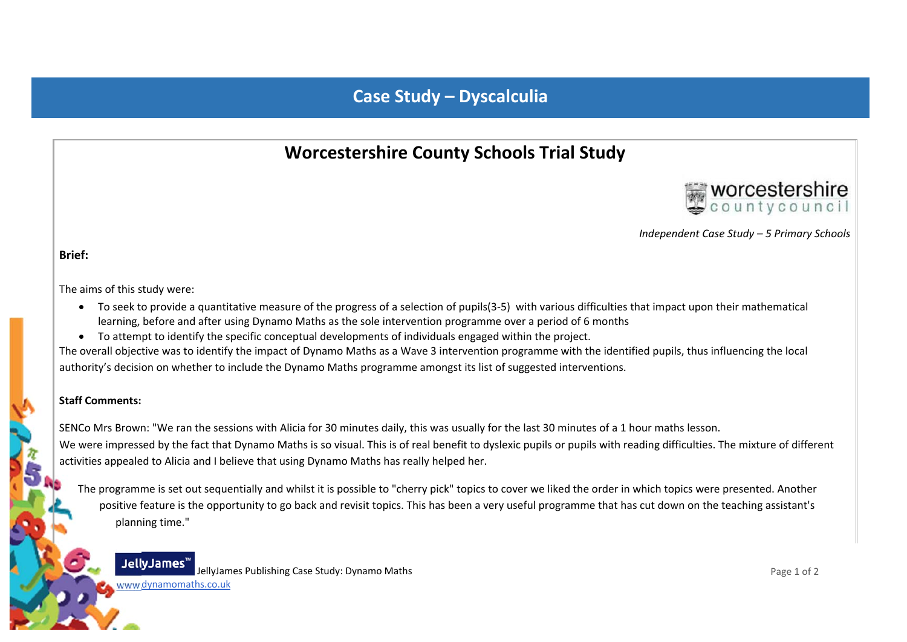# **Case Study – Dyscalculia**

# **Worcestershire County Schools Trial Study**



*Independent Case Study – 5 Primary Schools*

**Brief:**

The aims of this study were:

- To seek to provide a quantitative measure of the progress of a selection of pupils(3-5) with various difficulties that impact upon their mathematical learning, before and after using Dynamo Maths as the sole intervention programme over <sup>a</sup> period of 6 months
- To attempt to identify the specific conceptual developments of individuals engaged within the project.

The overall objective was to identify the impact of Dynamo Maths as <sup>a</sup> Wave 3 intervention programme with the identified pupils, thus influencing the local authority's decision on whether to include the Dynamo Maths programme amongst its list of suggested interventions.

### **Staff Comments:**

SENCo Mrs Brown: "We ran the sessions with Alicia for 30 minutes daily, this was usually for the last 30 minutes of <sup>a</sup> 1 hour maths lesson. We were impressed by the fact that Dynamo Maths is so visual. This is of real benefit to dyslexic pupils or pupils with reading difficulties. The mixture of different activities appealed to Alicia and I believe that using Dynamo Maths has really helped her.

The programme is set out sequentially and whilst it is possible to "cherry pick" topics to cover we liked the order in which topics were presented. Another positive feature is the opportunity to go back and revisit topics. This has been <sup>a</sup> very useful programme that has cut down on the teaching assistant's planning time."



www.dynamomaths.co.uk

JellyJames Publishing Case Study: Dynamo Maths

Page 1 of 2